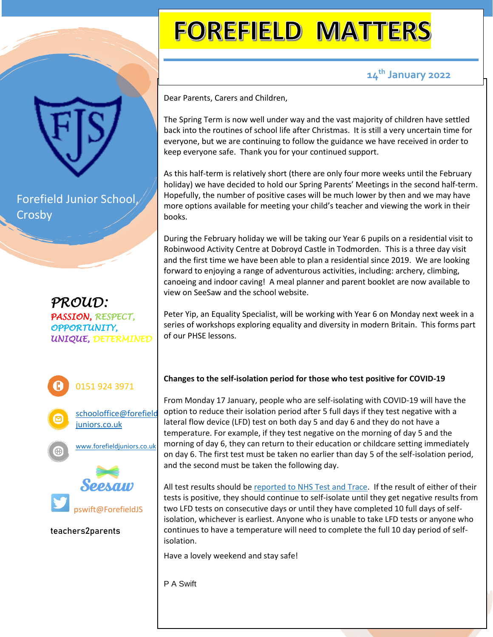Forefield Junior School, Crosby

*PROUD: PASSION, RESPECT, OPPORTUNITY, UNIQUE, DETERMINED*







pswift@ForefieldJS

**teachers2parents**

# **FOREFIELD MATTERS**

## **14th January 2022**

Dear Parents, Carers and Children,

The Spring Term is now well under way and the vast majority of children have settled back into the routines of school life after Christmas. It is still a very uncertain time for everyone, but we are continuing to follow the guidance we have received in order to keep everyone safe. Thank you for your continued support.

As this half-term is relatively short (there are only four more weeks until the February holiday) we have decided to hold our Spring Parents' Meetings in the second half-term. Hopefully, the number of positive cases will be much lower by then and we may have more options available for meeting your child's teacher and viewing the work in their books.

During the February holiday we will be taking our Year 6 pupils on a residential visit to Robinwood Activity Centre at Dobroyd Castle in Todmorden. This is a three day visit and the first time we have been able to plan a residential since 2019. We are looking forward to enjoying a range of adventurous activities, including: archery, climbing, canoeing and indoor caving! A meal planner and parent booklet are now available to view on SeeSaw and the school website.

Peter Yip, an Equality Specialist, will be working with Year 6 on Monday next week in a series of workshops exploring equality and diversity in modern Britain. This forms part of our PHSE lessons.

### **Changes to the self-isolation period for those who test positive for COVID-19**

From Monday 17 January, people who are self-isolating with COVID-19 will have the option to reduce their isolation period after 5 full days if they test negative with a lateral flow device (LFD) test on both day 5 and day 6 and they do not have a temperature. For example, if they test negative on the morning of day 5 and the morning of day 6, they can return to their education or childcare setting immediately on day 6. The first test must be taken no earlier than day 5 of the self-isolation period, and the second must be taken the following day.

All test results should be [reported](https://www.gov.uk/report-covid19-result?utm_source=14%20January%202022%20C19&utm_medium=Daily%20Email%20C19&utm_campaign=DfE%20C19) to NHS Test and Trace. If the result of either of their tests is positive, they should continue to self-isolate until they get negative results from two LFD tests on consecutive days or until they have completed 10 full days of selfisolation, whichever is earliest. Anyone who is unable to take LFD tests or anyone who continues to have a temperature will need to complete the full 10 day period of selfisolation.

Have a lovely weekend and stay safe!

P A Swift